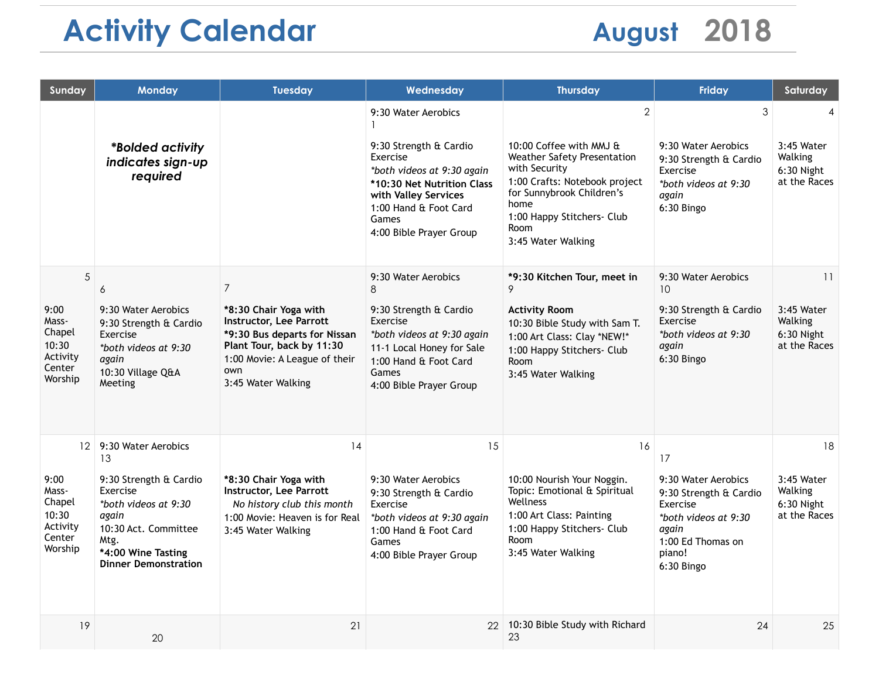## Activity Calendar **August** 2018

| Sunday                                                                               | <b>Monday</b>                                                                                                                                                                         | <b>Tuesday</b>                                                                                                                                                                                | Wednesday                                                                                                                                                                                                  | <b>Thursday</b>                                                                                                                                                                                                                    | <b>Friday</b>                                                                                                                                 | Saturday                                                  |
|--------------------------------------------------------------------------------------|---------------------------------------------------------------------------------------------------------------------------------------------------------------------------------------|-----------------------------------------------------------------------------------------------------------------------------------------------------------------------------------------------|------------------------------------------------------------------------------------------------------------------------------------------------------------------------------------------------------------|------------------------------------------------------------------------------------------------------------------------------------------------------------------------------------------------------------------------------------|-----------------------------------------------------------------------------------------------------------------------------------------------|-----------------------------------------------------------|
|                                                                                      | <i><b>*Bolded activity</b></i><br>indicates sign-up<br>required                                                                                                                       |                                                                                                                                                                                               | 9:30 Water Aerobics<br>9:30 Strength & Cardio<br>Exercise<br>*both videos at 9:30 again<br>*10:30 Net Nutrition Class<br>with Valley Services<br>1:00 Hand & Foot Card<br>Games<br>4:00 Bible Prayer Group | $\overline{2}$<br>10:00 Coffee with MMJ &<br><b>Weather Safety Presentation</b><br>with Security<br>1:00 Crafts: Notebook project<br>for Sunnybrook Children's<br>home<br>1:00 Happy Stitchers- Club<br>Room<br>3:45 Water Walking | 3<br>9:30 Water Aerobics<br>9:30 Strength & Cardio<br>Exercise<br>*both videos at 9:30<br>again<br>6:30 Bingo                                 | 4<br>3:45 Water<br>Walking<br>6:30 Night<br>at the Races  |
| 5<br>9:00<br>Mass-<br>Chapel<br>10:30<br>Activity<br>Center<br>Worship               | 6<br>9:30 Water Aerobics<br>9:30 Strength & Cardio<br>Exercise<br>*both videos at 9:30<br>again<br>10:30 Village Q&A<br>Meeting                                                       | $\overline{7}$<br>*8:30 Chair Yoga with<br>Instructor, Lee Parrott<br>*9:30 Bus departs for Nissan<br>Plant Tour, back by 11:30<br>1:00 Movie: A League of their<br>own<br>3:45 Water Walking | 9:30 Water Aerobics<br>8<br>9:30 Strength & Cardio<br>Exercise<br>*both videos at 9:30 again<br>11-1 Local Honey for Sale<br>1:00 Hand & Foot Card<br>Games<br>4:00 Bible Prayer Group                     | *9:30 Kitchen Tour, meet in<br>9<br><b>Activity Room</b><br>10:30 Bible Study with Sam T.<br>1:00 Art Class: Clay *NEW!*<br>1:00 Happy Stitchers- Club<br>Room<br>3:45 Water Walking                                               | 9:30 Water Aerobics<br>10 <sup>°</sup><br>9:30 Strength & Cardio<br>Exercise<br>*both videos at 9:30<br>again<br>6:30 Bingo                   | 11<br>3:45 Water<br>Walking<br>6:30 Night<br>at the Races |
| 12 <sup>2</sup><br>9:00<br>Mass-<br>Chapel<br>10:30<br>Activity<br>Center<br>Worship | 9:30 Water Aerobics<br>13<br>9:30 Strength & Cardio<br>Exercise<br>*both videos at 9:30<br>again<br>10:30 Act. Committee<br>Mtg.<br>*4:00 Wine Tasting<br><b>Dinner Demonstration</b> | 14<br>*8:30 Chair Yoga with<br>Instructor, Lee Parrott<br>No history club this month<br>1:00 Movie: Heaven is for Real<br>3:45 Water Walking                                                  | 15<br>9:30 Water Aerobics<br>9:30 Strength & Cardio<br>Exercise<br>*both videos at 9:30 again<br>1:00 Hand & Foot Card<br>Games<br>4:00 Bible Prayer Group                                                 | 16<br>10:00 Nourish Your Noggin.<br>Topic: Emotional & Spiritual<br>Wellness<br>1:00 Art Class: Painting<br>1:00 Happy Stitchers- Club<br>Room<br>3:45 Water Walking                                                               | 17<br>9:30 Water Aerobics<br>9:30 Strength & Cardio<br>Exercise<br>*both videos at 9:30<br>again<br>1:00 Ed Thomas on<br>piano!<br>6:30 Bingo | 18<br>3:45 Water<br>Walking<br>6:30 Night<br>at the Races |
| 19                                                                                   | 20                                                                                                                                                                                    | 21                                                                                                                                                                                            | 22                                                                                                                                                                                                         | 10:30 Bible Study with Richard<br>23                                                                                                                                                                                               | 24                                                                                                                                            | 25                                                        |